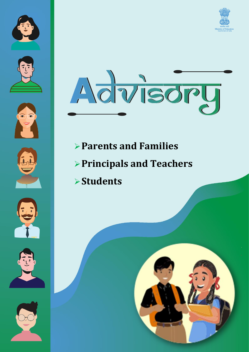















- ➢**Parents and Families**
- ➢**Principals and Teachers**
- ➢**Students**



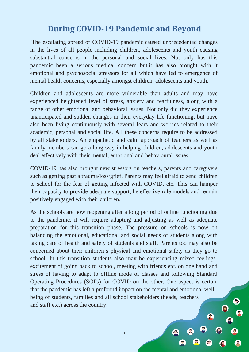# **During COVID-19 Pandemic and Beyond**

The escalating spread of COVID-19 pandemic caused unprecedented changes in the lives of all people including children, adolescents and youth causing substantial concerns in the personal and social lives. Not only has this pandemic been a serious medical concern but it has also brought with it emotional and psychosocial stressors for all which have led to emergence of mental health concerns, especially amongst children, adolescents and youth.

Children and adolescents are more vulnerable than adults and may have experienced heightened level of stress, anxiety and fearfulness, along with a range of other emotional and behavioral issues. Not only did they experience unanticipated and sudden changes in their everyday life functioning, but have also been living continuously with several fears and worries related to their academic, personal and social life. All these concerns require to be addressed by all stakeholders. An empathetic and calm approach of teachers as well as family members can go a long way in helping children, adolescents and youth deal effectively with their mental, emotional and behavioural issues.

COVID-19 has also brought new stressors on teachers, parents and caregivers such as getting past a trauma/loss/grief. Parents may feel afraid to send children to school for the fear of getting infected with COVID, etc. This can hamper their capacity to provide adequate support, be effective role models and remain positively engaged with their children.

As the schools are now reopening after a long period of online functioning due to the pandemic, it will require adapting and adjusting as well as adequate preparation for this transition phase. The pressure on schools is now on balancing the emotional, educational and social needs of students along with taking care of health and safety of students and staff. Parents too may also be concerned about their children's physical and emotional safety as they go to school. In this transition students also may be experiencing mixed feelingsexcitement of going back to school, meeting with friends etc. on one hand and stress of having to adapt to offline mode of classes and following Standard Operating Procedures (SOPs) for COVID on the other. One aspect is certain that the pandemic has left a profound impact on the mental and emotional wellbeing of students, families and all school stakeholders (heads, teachers and staff etc.) across the country.

 $\overline{2}$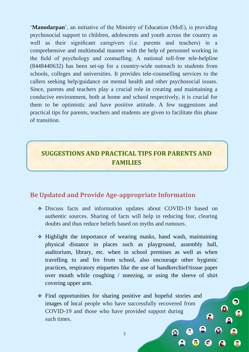'**Manodarpan**', an initiative of the Ministry of Education (MoE), is providing psychosocial support to children, adolescents and youth across the country as well as their significant caregivers (i.e. parents and teachers) in a comprehensive and multimodal manner with the help of personnel working in the field of psychology and counselling. A national toll-free tele-helpline (8448440632) has been set-up for a country-wide outreach to students from schools, colleges and universities. It provides tele-counselling services to the callers seeking help/guidance on mental health and other psychosocial issues. Since, parents and teachers play a crucial role in creating and maintaining a conducive environment, both at home and school respectively, it is crucial for them to be optimistic and have positive attitude. A few suggestions and practical tips for parents, teachers and students are given to facilitate this phase of transition.

## **SUGGESTIONS AND PRACTICAL TIPS FOR PARENTS AND FAMILIES**

### **Be Updated and Provide Age-appropriate Information**

- ❖ Discuss facts and information updates about COVID-19 based on authentic sources. Sharing of facts will help in reducing fear, clearing doubts and thus reduce beliefs based on myths and rumours.
- ❖ Highlight the importance of wearing masks, hand wash, maintaining physical distance in places such as playground, assembly hall, auditorium, library, etc. when in school premises as well as when travelling to and fro from school, also encourage other hygienic practices, respiratory etiquettes like the use of handkerchief/tissue paper over mouth while coughing / sneezing, or using the sleeve of shirt covering upper arm.
- ❖ Find opportunities for sharing positive and hopeful stories and images of local people who have successfully recovered from COVID-19 and those who have provided support during such times.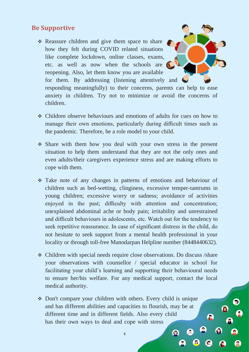#### **Be Supportive**

- ❖ Reassure children and give them space to share how they felt during COVID related situations like complete lockdown, online classes, exams, etc. as well as now when the schools are reopening. Also, let them know you are available for them. By addressing (listening attentively and  $\bigcup$ responding meaningfully) to their concerns, parents can help to ease anxiety in children. Try not to minimize or avoid the concerns of children.
- ❖ Children observe behaviours and emotions of adults for cues on how to manage their own emotions, particularly during difficult times such as the pandemic. Therefore, be a role model to your child.
- ❖ Share with them how you deal with your own stress in the present situation to help them understand that they are not the only ones and even adults/their caregivers experience stress and are making efforts to cope with them.
- ❖ Take note of any changes in patterns of emotions and behaviour of children such as bed-wetting, clinginess, excessive temper-tantrums in young children; excessive worry or sadness; avoidance of activities enjoyed in the past; difficulty with attention and concentration; unexplained abdominal ache or body pain; irritability and unrestrained and difficult behaviours in adolescents, etc. Watch out for the tendency to seek repetitive reassurance. In case of significant distress in the child, do not hesitate to seek support from a mental health professional in your locality or through toll-free Manodarpan Helpline number (8448440632).
- ❖ Children with special needs require close observations. Do discuss /share your observations with counsellor / special educator in school for facilitating your child's learning and supporting their behavioural needs to ensure her/his welfare. For any medical support, contact the local medical authority.
- ❖ Don't compare your children with others. Every child is unique and has different abilities and capacities to flourish, may be at different time and in different fields. Also every child has their own ways to deal and cope with stress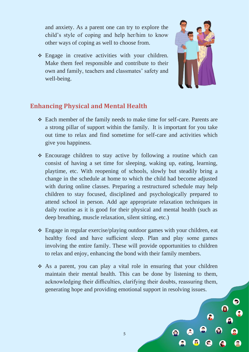and anxiety. As a parent one can try to explore the child's style of coping and help her/him to know other ways of coping as well to choose from.

❖ Engage in creative activities with your children. Make them feel responsible and contribute to their own and family, teachers and classmates' safety and well-being.



### **Enhancing Physical and Mental Health**

- ❖ Each member of the family needs to make time for self-care. Parents are a strong pillar of support within the family. It is important for you take out time to relax and find sometime for self-care and activities which give you happiness.
- ❖ Encourage children to stay active by following a routine which can consist of having a set time for sleeping, waking up, eating, learning, playtime, etc. With reopening of schools, slowly but steadily bring a change in the schedule at home to which the child had become adjusted with during online classes. Preparing a restructured schedule may help children to stay focused, disciplined and psychologically prepared to attend school in person. Add age appropriate relaxation techniques in daily routine as it is good for their physical and mental health (such as deep breathing, muscle relaxation, silent sitting, etc.)
- ❖ Engage in regular exercise/playing outdoor games with your children, eat healthy food and have sufficient sleep. Plan and play some games involving the entire family. These will provide opportunities to children to relax and enjoy, enhancing the bond with their family members.
- ❖ As a parent, you can play a vital role in ensuring that your children maintain their mental health. This can be done by listening to them, acknowledging their difficulties, clarifying their doubts, reassuring them, generating hope and providing emotional support in resolving issues.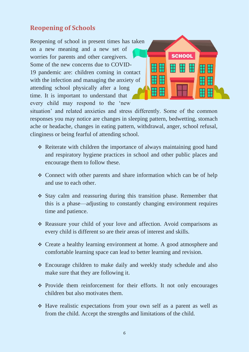## **Reopening of Schools**

Reopening of school in present times has taken on a new meaning and a new set of worries for parents and other caregivers. Some of the new concerns due to COVID-19 pandemic are: children coming in contact with the infection and managing the anxiety of attending school physically after a long time. It is important to understand that every child may respond to the 'new



situation' and related anxieties and stress differently. Some of the common responses you may notice are changes in sleeping pattern, bedwetting, stomach ache or headache, changes in eating pattern, withdrawal, anger, school refusal, clinginess or being fearful of attending school.

- ❖ Reiterate with children the importance of always maintaining good hand and respiratory hygiene practices in school and other public places and encourage them to follow these.
- ❖ Connect with other parents and share information which can be of help and use to each other.
- ❖ Stay calm and reassuring during this transition phase. Remember that this is a phase—adjusting to constantly changing environment requires time and patience.
- ❖ Reassure your child of your love and affection. Avoid comparisons as every child is different so are their areas of interest and skills.
- ❖ Create a healthy learning environment at home. A good atmosphere and comfortable learning space can lead to better learning and revision.
- ❖ Encourage children to make daily and weekly study schedule and also make sure that they are following it.
- ❖ Provide them reinforcement for their efforts. It not only encourages children but also motivates them.
- ❖ Have realistic expectations from your own self as a parent as well as from the child. Accept the strengths and limitations of the child.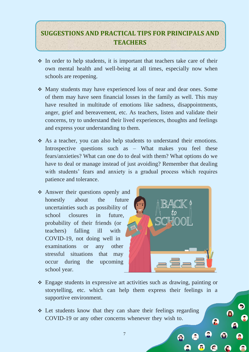## **SUGGESTIONS AND PRACTICAL TIPS FOR PRINCIPALS AND TEACHERS**

- ❖ In order to help students, it is important that teachers take care of their own mental health and well-being at all times, especially now when schools are reopening.
- ❖ Many students may have experienced loss of near and dear ones. Some of them may have seen financial losses in the family as well. This may have resulted in multitude of emotions like sadness, disappointments, anger, grief and bereavement, etc. As teachers, listen and validate their concerns, try to understand their lived experiences, thoughts and feelings and express your understanding to them.
- ❖ As a teacher, you can also help students to understand their emotions. Introspective questions such as – What makes you feel these fears/anxieties? What can one do to deal with them? What options do we have to deal or manage instead of just avoiding? Remember that dealing with students' fears and anxiety is a gradual process which requires patience and tolerance.
- ❖ Answer their questions openly and honestly about the future uncertainties such as possibility of school closures in future, probability of their friends (or teachers) falling ill with COVID-19, not doing well in examinations or any other stressful situations that may occur during the upcoming school year.



- ❖ Engage students in expressive art activities such as drawing, painting or storytelling, etc. which can help them express their feelings in a supportive environment.
- ❖ Let students know that they can share their feelings regarding COVID-19 or any other concerns whenever they wish to.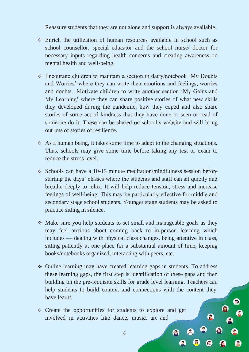Reassure students that they are not alone and support is always available.

- ❖ Enrich the utilization of human resources available in school such as school counsellor, special educator and the school nurse/ doctor for necessary inputs regarding health concerns and creating awareness on mental health and well-being.
- ❖ Encourage children to maintain a section in dairy/notebook 'My Doubts and Worries' where they can write their emotions and feelings, worries and doubts. Motivate children to write another section 'My Gains and My Learning' where they can share positive stories of what new skills they developed during the pandemic, how they coped and also share stories of some act of kindness that they have done or seen or read of someone do it. These can be shared on school's website and will bring out lots of stories of resilience.
- ❖ As a human being, it takes some time to adapt to the changing situations. Thus, schools may give some time before taking any test or exam to reduce the stress level.
- ❖ Schools can have a 10-15 minute meditation/mindfulness session before starting the days' classes where the students and staff can sit quietly and breathe deeply to relax. It will help reduce tension, stress and increase feelings of well-being. This may be particularly effective for middle and secondary stage school students. Younger stage students may be asked to practice sitting in silence.
- ❖ Make sure you help students to set small and manageable goals as they may feel anxious about coming back to in-person learning which includes — dealing with physical class changes, being attentive in class, sitting patiently at one place for a substantial amount of time, keeping books/notebooks organized, interacting with peers, etc.
- ❖ Online learning may have created learning gaps in students. To address these learning gaps, the first step is identification of these gaps and then building on the pre-requisite skills for grade level learning. Teachers can help students to build context and connections with the content they have learnt.

8

❖ Create the opportunities for students to explore and get involved in activities like dance, music, art and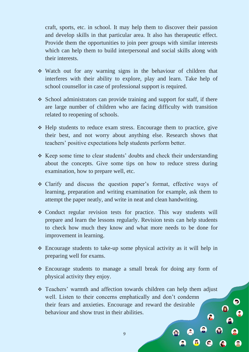craft, sports, etc. in school. It may help them to discover their passion and develop skills in that particular area. It also has therapeutic effect. Provide them the opportunities to join peer groups with similar interests which can help them to build interpersonal and social skills along with their interests.

- ❖ Watch out for any warning signs in the behaviour of children that interferes with their ability to explore, play and learn. Take help of school counsellor in case of professional support is required.
- ❖ School administrators can provide training and support for staff, if there are large number of children who are facing difficulty with transition related to reopening of schools.
- ❖ Help students to reduce exam stress. Encourage them to practice, give their best, and not worry about anything else. Research shows that teachers' positive expectations help students perform better.
- ❖ Keep some time to clear students' doubts and check their understanding about the concepts. Give some tips on how to reduce stress during examination, how to prepare well, etc.
- ❖ Clarify and discuss the question paper's format, effective ways of learning, preparation and writing examination for example, ask them to attempt the paper neatly, and write in neat and clean handwriting.
- ❖ Conduct regular revision tests for practice. This way students will prepare and learn the lessons regularly. Revision tests can help students to check how much they know and what more needs to be done for improvement in learning.
- ❖ Encourage students to take-up some physical activity as it will help in preparing well for exams.
- ❖ Encourage students to manage a small break for doing any form of physical activity they enjoy.
- ❖ Teachers' warmth and affection towards children can help them adjust well. Listen to their concerns emphatically and don't condemn their fears and anxieties. Encourage and reward the desirable behaviour and show trust in their abilities.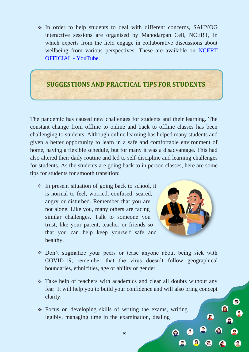❖ In order to help students to deal with different concerns, SAHYOG interactive sessions are organised by Manodarpan Cell, NCERT, in which experts from the field engage in collaborative discussions about wellbeing from various perspectives. These are available on [NCERT](https://www.youtube.com/c/NCERTOFFICIAL?app=desktop)  [OFFICIAL -](https://www.youtube.com/c/NCERTOFFICIAL?app=desktop) YouTube.

### **SUGGESTIONS AND PRACTICAL TIPS FOR STUDENTS**

The pandemic has caused new challenges for students and their learning. The constant change from offline to online and back to offline classes has been challenging to students. Although online learning has helped many students and given a better opportunity to learn in a safe and comfortable environment of home, having a flexible schedule, but for many it was a disadvantage. This had also altered their daily routine and led to self-discipline and learning challenges for students. As the students are going back to in person classes, here are some tips for students for smooth transition:

❖ In present situation of going back to school, it is normal to feel, worried, confused, scared, angry or disturbed. Remember that you are not alone. Like you, many others are facing similar challenges. Talk to someone you trust, like your parent, teacher or friends so that you can help keep yourself safe and healthy.



- ❖ Don't stigmatize your peers or tease anyone about being sick with COVID-19; remember that the virus doesn't follow geographical boundaries, ethnicities, age or ability or gender.
- ❖ Take help of teachers with academics and clear all doubts without any fear. It will help you to build your confidence and will also bring concept clarity.

10

❖ Focus on developing skills of writing the exams, writing legibly, managing time in the examination, dealing